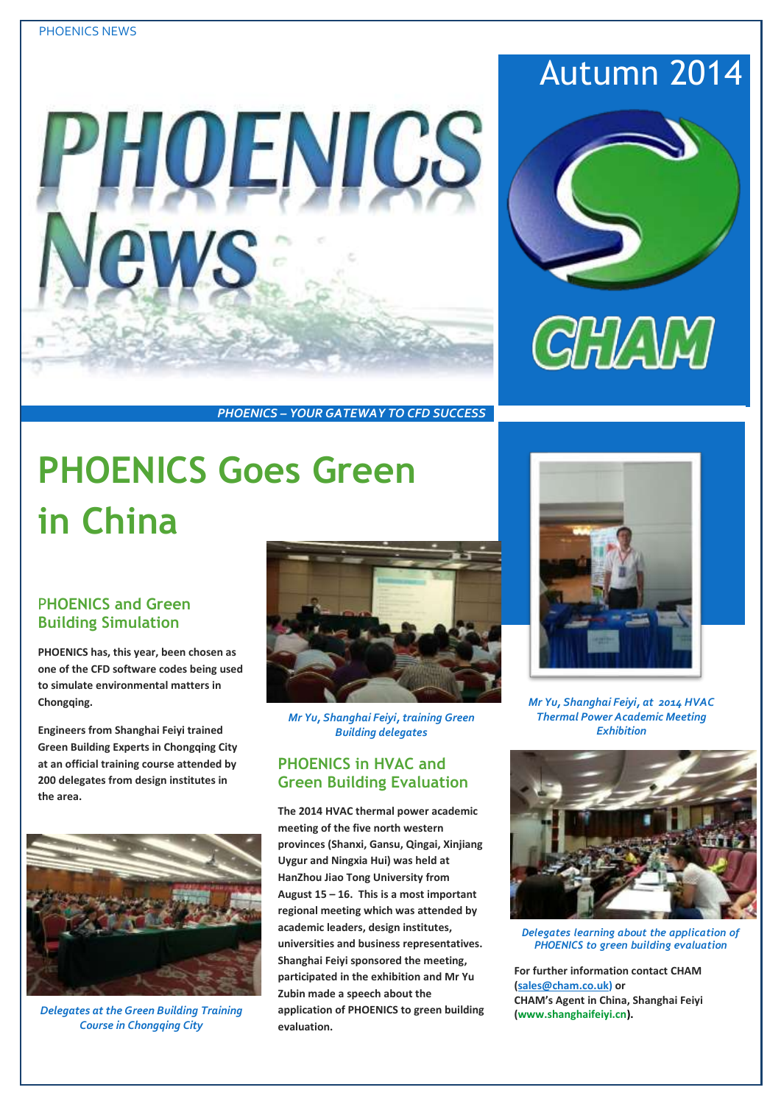

# Autumn 2014



*PHOENICS – YOUR GATEWAY TO CFD SUCCESS*

# **PHOENICS Goes Green in China**

### P**HOENICS and Green Building Simulation**

**PHOENICS has, this year, been chosen as one of the CFD software codes being used to simulate environmental matters in**  Chongaing.

**Engineers from Shanghai Feiyi trained Green Building Experts in Chongqing City at an official training course attended by 200 delegates from design institutes in the area.**



*Delegates at the Green Building Training Course in Chongqing City*



*Mr Yu, Shanghai Feiyi, training Green Building delegates*

### **PHOENICS in HVAC and Green Building Evaluation**

**The 2014 HVAC thermal power academic meeting of the five north western provinces (Shanxi, Gansu, Qingai, Xinjiang Uygur and Ningxia Hui) was held at HanZhou Jiao Tong University from August 15 – 16. This is a most important regional meeting which was attended by academic leaders, design institutes, universities and business representatives. Shanghai Feiyi sponsored the meeting, participated in the exhibition and Mr Yu Zubin made a speech about the application of PHOENICS to green building evaluation.**



*Mr Yu, Shanghai Feiyi, at 2014 HVAC Thermal Power Academic Meeting Exhibition*



*Delegates learning about the application of PHOENICS to green building evaluation*

**For further information contact CHAM [\(sales@cham.co.uk\)](mailto:sales@cham.co.uk) or CHAM's Agent in China, Shanghai Feiyi [\(www.shanghaifeiyi.cn\)](http://www.shanghaifeiyi.cn/).**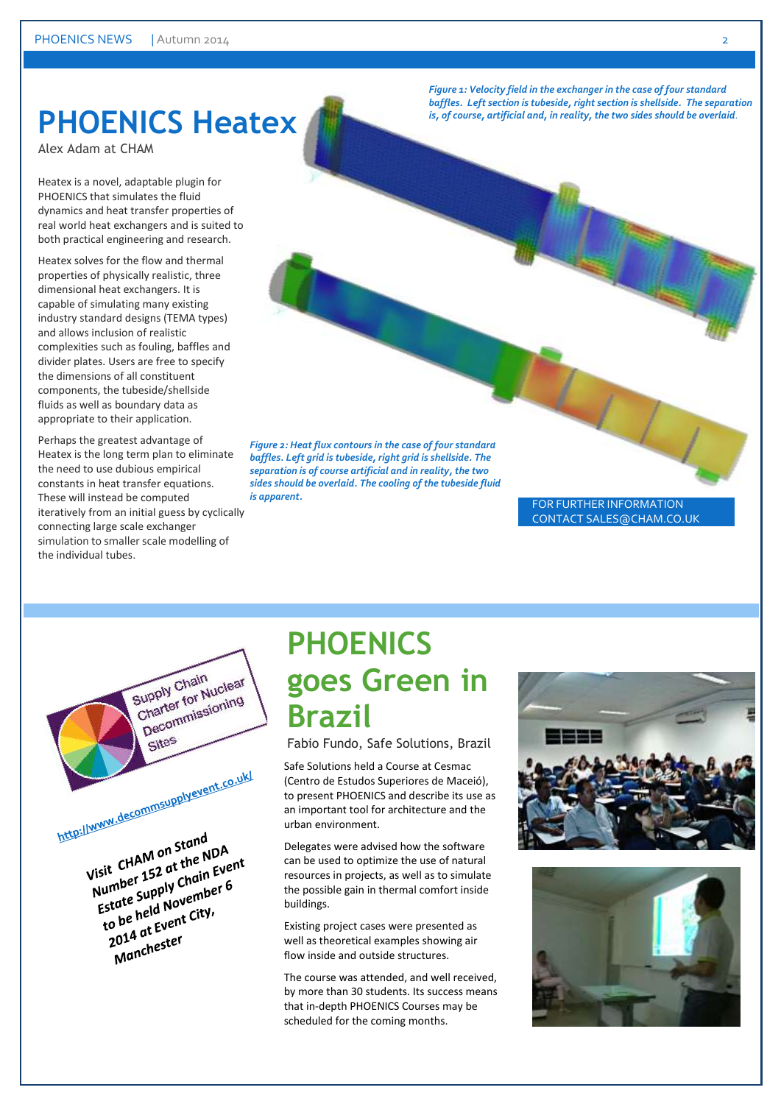### **PHOENICS Heatex**

Alex Adam at CHAM

Heatex is a novel, adaptable plugin for PHOENICS that simulates the fluid dynamics and heat transfer properties of real world heat exchangers and is suited to both practical engineering and research.

Heatex solves for the flow and thermal properties of physically realistic, three dimensional heat exchangers. It is capable of simulating many existing industry standard designs (TEMA types) and allows inclusion of realistic complexities such as fouling, baffles and divider plates. Users are free to specify the dimensions of all constituent components, the tubeside/shellside fluids as well as boundary data as appropriate to their application.

Perhaps the greatest advantage of Heatex is the long term plan to eliminate the need to use dubious empirical constants in heat transfer equations. These will instead be computed iteratively from an initial guess by cyclically connecting large scale exchanger simulation to smaller scale modelling of the individual tubes.

> Supply Chain Supply Chain<br>Charter for Nuclear<br>Charter for Nuclear Decommissioning

Sites

http://www.decommsupplyevent.co.uk/

Visit CHAM on Stand<br>Visit CHAM on Stand<br>Wisit CHAM on Stand Visit CHAM on Stand<br>Visit CHAM on Stand<br>Number 152 at the NDA<br>Number Supply Chain Eve Visit CHAM on Stee NDA<br>Number 152 at the NDA<br>Number 152 at the Event<br>Estate Supply Chain Event<br>Estate Supply chain Eity, sit<br>
umber 152 u.<br>
umber Supply Chain Ever<br>
Estate Supply Chain Ever<br>
to be held November 6<br>
to 2014 at Ever state Surf November<br>to be held November<br>2014 at Event City,<br>2014 at Event

2014 at Ever<br>Manchester

*Figure 1: Velocity field in the exchanger in the case of four standard*  baffles. Left section is tubeside, right section is shellside. The separation *is, of course, artificial and, in reality, the two sides should be overlaid*.

*Figure 2: Heat flux contours in the case of four standard baffles. Left grid is tubeside, right grid is shellside. The separation is of course artificial and in reality, the two sides should be overlaid. The cooling of the tubeside fluid is apparent.*

FOR FURTHER INFORMATION CONTACT SALES@CHAM.CO.UK

# **PHOENICS goes Green in Brazil**

Fabio Fundo, Safe Solutions, Brazil

Safe Solutions held a Course at Cesmac (Centro de Estudos Superiores de Maceió), to present PHOENICS and describe its use as an important tool for architecture and the urban environment.

Delegates were advised how the software can be used to optimize the use of natural resources in projects, as well as to simulate the possible gain in thermal comfort inside buildings.

Existing project cases were presented as well as theoretical examples showing air flow inside and outside structures.

The course was attended, and well received, by more than 30 students. Its success means that in-depth PHOENICS Courses may be scheduled for the coming months.



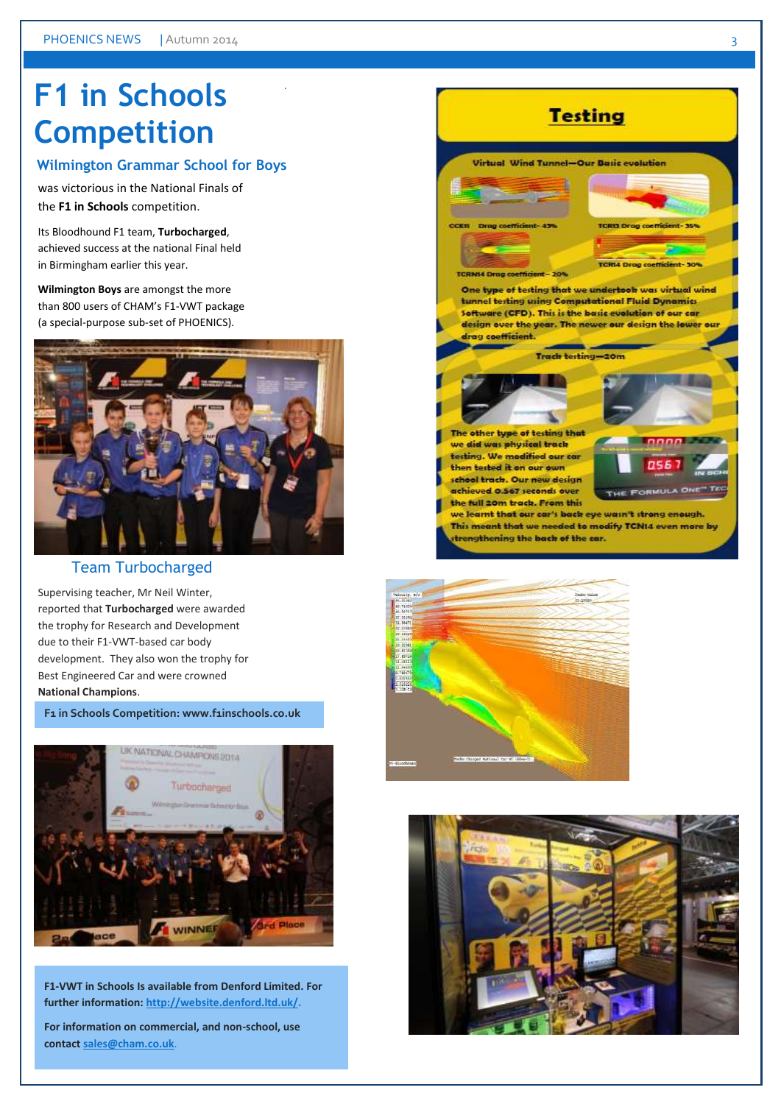# **F1 in Schools Competition**

### **Wilmington Grammar School for Boys**

.

was victorious in the National Finals of the **F1 in Schools** competition.

Its Bloodhound F1 team, **Turbocharged**, achieved success at the national Final held in Birmingham earlier this year.

**Wilmington Boys** are amongst the more than 800 users of CHAM's F1-VWT package (a special-purpose sub-set of PHOENICS).



#### Team Turbocharged

Supervising teacher, Mr Neil Winter, reported that **Turbocharged** were awarded the trophy for Research and Development due to their F1-VWT-based car body development. They also won the trophy for Best Engineered Car and were crowned **National Champions**.

**F1** in Schools Competition: www.f1inschools.co.uk



**F1-VWT in Schools Is available from Denford Limited. For further information[: http://website.denford.ltd.uk/.](http://website.denford.ltd.uk/)**

**For information on commercial, and non-school, use contac[t sales@cham.co.uk](mailto:sales@cham.co.uk)**.





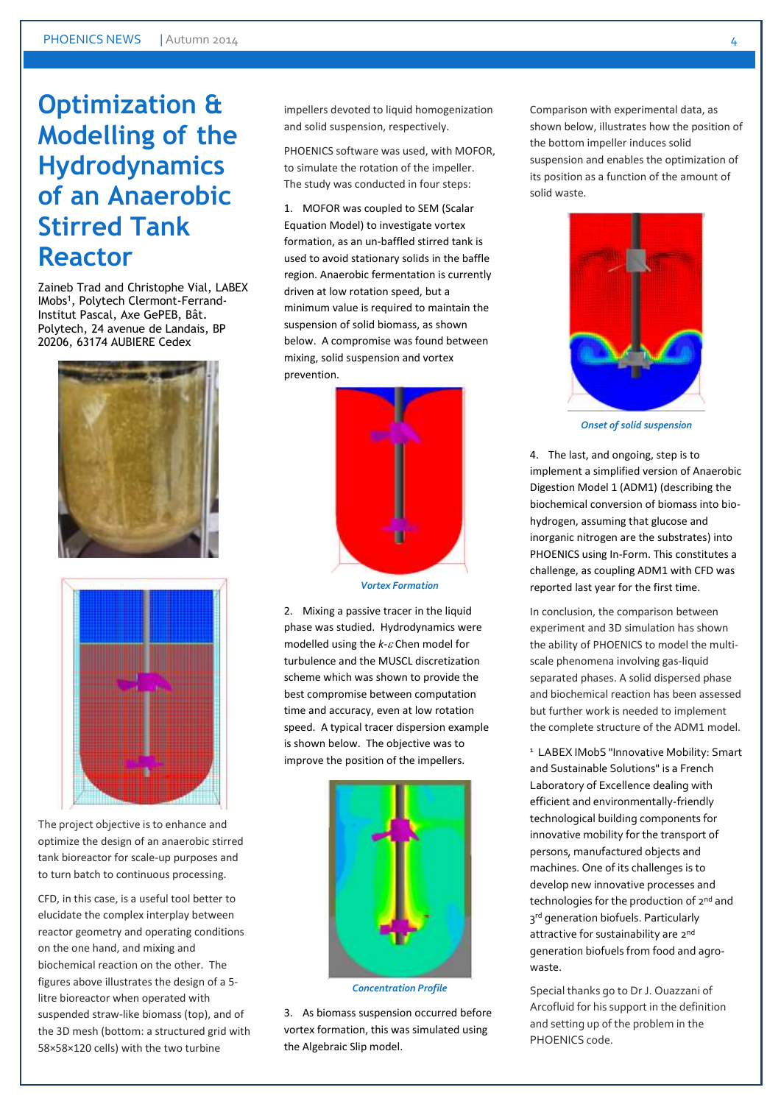### **Optimization & Modelling of the Hydrodynamics of an Anaerobic Stirred Tank Reactor**

Zaineb Trad and Christophe Vial, LABEX IMobs<sup>1</sup>, Polytech Clermont-Ferrand-Institut Pascal, Axe GePEB, Bât. Polytech, 24 avenue de Landais, BP 20206, 63174 AUBIERE Cedex





The project objective is to enhance and optimize the design of an anaerobic stirred tank bioreactor for scale-up purposes and to turn batch to continuous processing.

CFD, in this case, is a useful tool better to elucidate the complex interplay between reactor geometry and operating conditions on the one hand, and mixing and biochemical reaction on the other. The figures above illustrates the design of a 5 litre bioreactor when operated with suspended straw-like biomass (top), and of the 3D mesh (bottom: a structured grid with 58×58×120 cells) with the two turbine

impellers devoted to liquid homogenization and solid suspension, respectively.

PHOENICS software was used, with MOFOR, to simulate the rotation of the impeller. The study was conducted in four steps:

1. MOFOR was coupled to SEM (Scalar Equation Model) to investigate vortex formation, as an un-baffled stirred tank is used to avoid stationary solids in the baffle region. Anaerobic fermentation is currently driven at low rotation speed, but a minimum value is required to maintain the suspension of solid biomass, as shown below. A compromise was found between mixing, solid suspension and vortex prevention.



*Vortex Formation*

2. Mixing a passive tracer in the liquid phase was studied. Hydrodynamics were modelled using the *k-<sub>c</sub>* Chen model for turbulence and the MUSCL discretization scheme which was shown to provide the best compromise between computation time and accuracy, even at low rotation speed. A typical tracer dispersion example is shown below. The objective was to improve the position of the impellers.



*Concentration Profile*

3. As biomass suspension occurred before vortex formation, this was simulated using the Algebraic Slip model.

Comparison with experimental data, as shown below, illustrates how the position of the bottom impeller induces solid suspension and enables the optimization of its position as a function of the amount of solid waste.



*Onset of solid suspension*

4. The last, and ongoing, step is to implement a simplified version of Anaerobic Digestion Model 1 (ADM1) (describing the biochemical conversion of biomass into biohydrogen, assuming that glucose and inorganic nitrogen are the substrates) into PHOENICS using In-Form. This constitutes a challenge, as coupling ADM1 with CFD was reported last year for the first time.

In conclusion, the comparison between experiment and 3D simulation has shown the ability of PHOENICS to model the multiscale phenomena involving gas-liquid separated phases. A solid dispersed phase and biochemical reaction has been assessed but further work is needed to implement the complete structure of the ADM1 model.

<sup>1</sup> LABEX IMobS "Innovative Mobility: Smart and Sustainable Solutions" is a French Laboratory of Excellence dealing with efficient and environmentally-friendly technological building components for innovative mobility for the transport of persons, manufactured objects and machines. One of its challenges is to develop new innovative processes and technologies for the production of 2<sup>nd</sup> and 3rd generation biofuels. Particularly attractive for sustainability are 2nd generation biofuels from food and agrowaste.

Special thanks go to Dr J. Ouazzani of Arcofluid for his support in the definition and setting up of the problem in the PHOENICS code.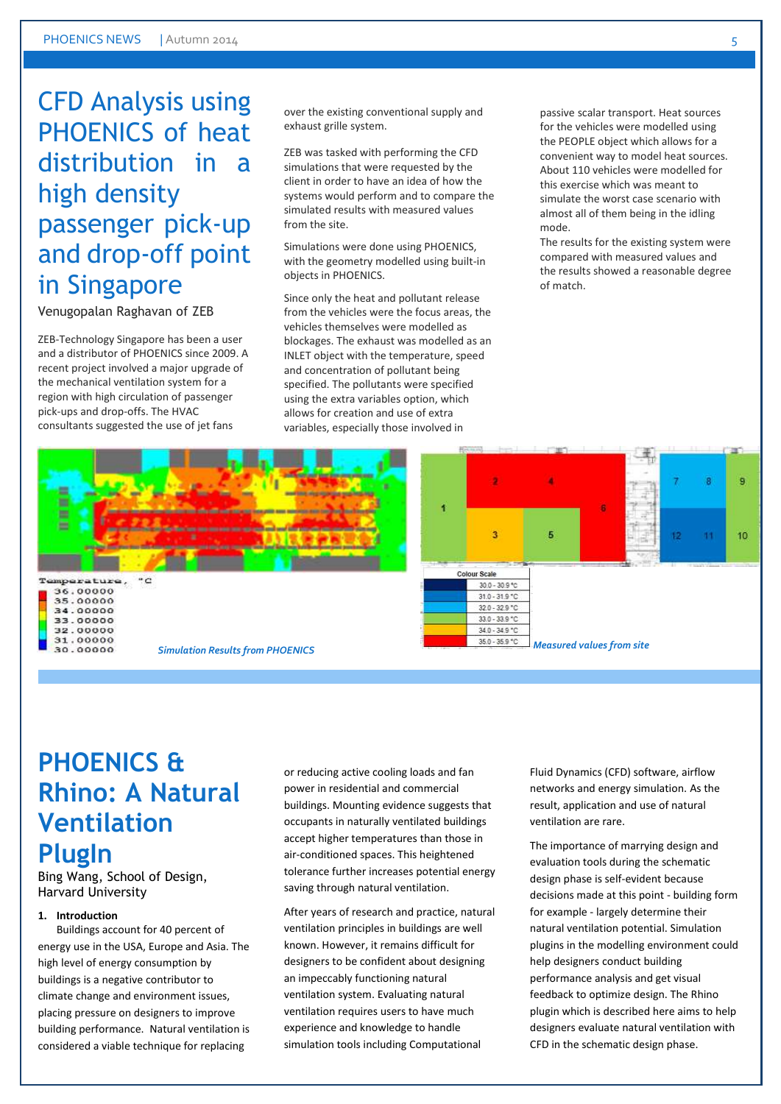### CFD Analysis using PHOENICS of heat distribution in a high density passenger pick-up and drop-off point in Singapore

#### Venugopalan Raghavan of ZEB

ZEB-Technology Singapore has been a user and a distributor of PHOENICS since 2009. A recent project involved a major upgrade of the mechanical ventilation system for a region with high circulation of passenger pick-ups and drop-offs. The HVAC consultants suggested the use of jet fans

over the existing conventional supply and exhaust grille system.

ZEB was tasked with performing the CFD simulations that were requested by the client in order to have an idea of how the systems would perform and to compare the simulated results with measured values from the site.

Simulations were done using PHOENICS, with the geometry modelled using built-in objects in PHOENICS.

Since only the heat and pollutant release from the vehicles were the focus areas, the vehicles themselves were modelled as blockages. The exhaust was modelled as an INLET object with the temperature, speed and concentration of pollutant being specified. The pollutants were specified using the extra variables option, which allows for creation and use of extra variables, especially those involved in

passive scalar transport. Heat sources for the vehicles were modelled using the PEOPLE object which allows for a convenient way to model heat sources. About 110 vehicles were modelled for this exercise which was meant to simulate the worst case scenario with almost all of them being in the idling mode.

The results for the existing system were compared with measured values and the results showed a reasonable degree of match.





36.00000<br>35.00000 34.00000 33.00000 32.00000 31.00000 30.00000

### **PHOENICS & Rhino: A Natural Ventilation PlugIn**

Bing Wang, School of Design, Harvard University

#### **1. Introduction**

Buildings account for 40 percent of energy use in the USA, Europe and Asia. The high level of energy consumption by buildings is a negative contributor to climate change and environment issues, placing pressure on designers to improve building performance. Natural ventilation is considered a viable technique for replacing

or reducing active cooling loads and fan power in residential and commercial buildings. Mounting evidence suggests that occupants in naturally ventilated buildings accept higher temperatures than those in air-conditioned spaces. This heightened tolerance further increases potential energy saving through natural ventilation.

After years of research and practice, natural ventilation principles in buildings are well known. However, it remains difficult for designers to be confident about designing an impeccably functioning natural ventilation system. Evaluating natural ventilation requires users to have much experience and knowledge to handle simulation tools including Computational

Fluid Dynamics (CFD) software, airflow networks and energy simulation. As the result, application and use of natural ventilation are rare.

The importance of marrying design and evaluation tools during the schematic design phase is self-evident because decisions made at this point - building form for example - largely determine their natural ventilation potential. Simulation plugins in the modelling environment could help designers conduct building performance analysis and get visual feedback to optimize design. The Rhino plugin which is described here aims to help designers evaluate natural ventilation with CFD in the schematic design phase.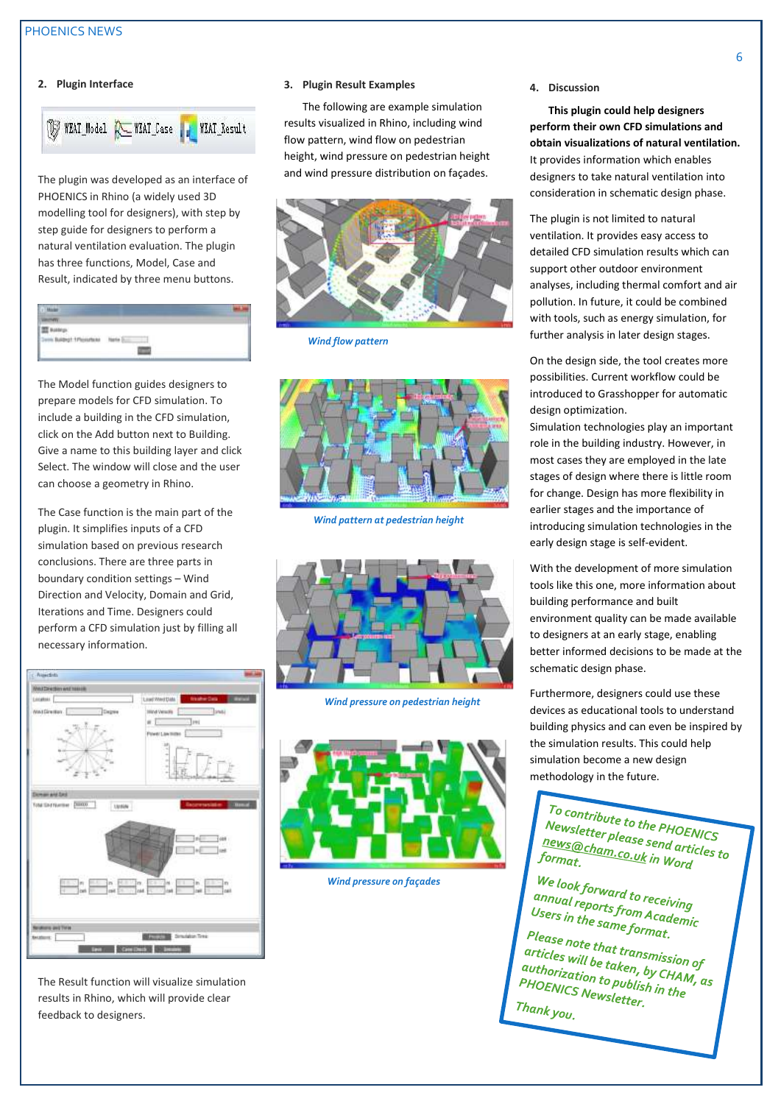#### **2. Plugin Interface**



The plugin was developed as an interface of PHOENICS in Rhino (a widely used 3D modelling tool for designers), with step by step guide for designers to perform a natural ventilation evaluation. The plugin has three functions, Model, Case and Result, indicated by three menu buttons.

| in Baltricht 1 Phoenhous Natio |  |
|--------------------------------|--|
|                                |  |

The Model function guides designers to prepare models for CFD simulation. To include a building in the CFD simulation, click on the Add button next to Building. Give a name to this building layer and click Select. The window will close and the user can choose a geometry in Rhino.

The Case function is the main part of the plugin. It simplifies inputs of a CFD simulation based on previous research conclusions. There are three parts in boundary condition settings – Wind Direction and Velocity, Domain and Grid, Iterations and Time. Designers could perform a CFD simulation just by filling all necessary information.



The Result function will visualize simulation results in Rhino, which will provide clear feedback to designers.

#### **3. Plugin Result Examples**

The following are example simulation results visualized in Rhino, including wind flow pattern, wind flow on pedestrian height, wind pressure on pedestrian height and wind pressure distribution on façades.



*Wind flow pattern*



*Wind pattern at pedestrian height*



*Wind pressure on pedestrian height*



 *Wind pressure on façades*

**4. Discussion**

**This plugin could help designers perform their own CFD simulations and obtain visualizations of natural ventilation.** It provides information which enables designers to take natural ventilation into consideration in schematic design phase.

The plugin is not limited to natural ventilation. It provides easy access to detailed CFD simulation results which can support other outdoor environment analyses, including thermal comfort and air pollution. In future, it could be combined with tools, such as energy simulation, for further analysis in later design stages.

On the design side, the tool creates more possibilities. Current workflow could be introduced to Grasshopper for automatic design optimization.

Simulation technologies play an important role in the building industry. However, in most cases they are employed in the late stages of design where there is little room for change. Design has more flexibility in earlier stages and the importance of introducing simulation technologies in the early design stage is self-evident.

With the development of more simulation tools like this one, more information about building performance and built environment quality can be made available to designers at an early stage, enabling better informed decisions to be made at the schematic design phase.

Furthermore, designers could use these devices as educational tools to understand building physics and can even be inspired by the simulation results. This could help simulation become a new design methodology in the future.

To contribute to the PHOENICS<br>Newsletter please send and CS<br>Rews@ut **Contribute to the PHOENICS**<br>Newsletter please send articles to<br>format formation in Word of the Sto **Explore the please Send article 18**<br><u>Rews@cham.co.uk</u> in Word<br>format. format.

We look forward to receiving<br>annual reports from Ass.<br>Users : *che look forward to receiving*<br>annual reports from Academic<br>Users in the same format Users in the same format.<br>Please not

Please note that transmission of<br>articles will be taken, by CHA<br>authorizzy: taken, by CHA a actes will be taken, by CHAN<br>authorization to publish in the<br>PHOENICS Newsletter **PHOENICS Newsletter.**<br>PHOENICS Newsletter.<br>Thank Thank you.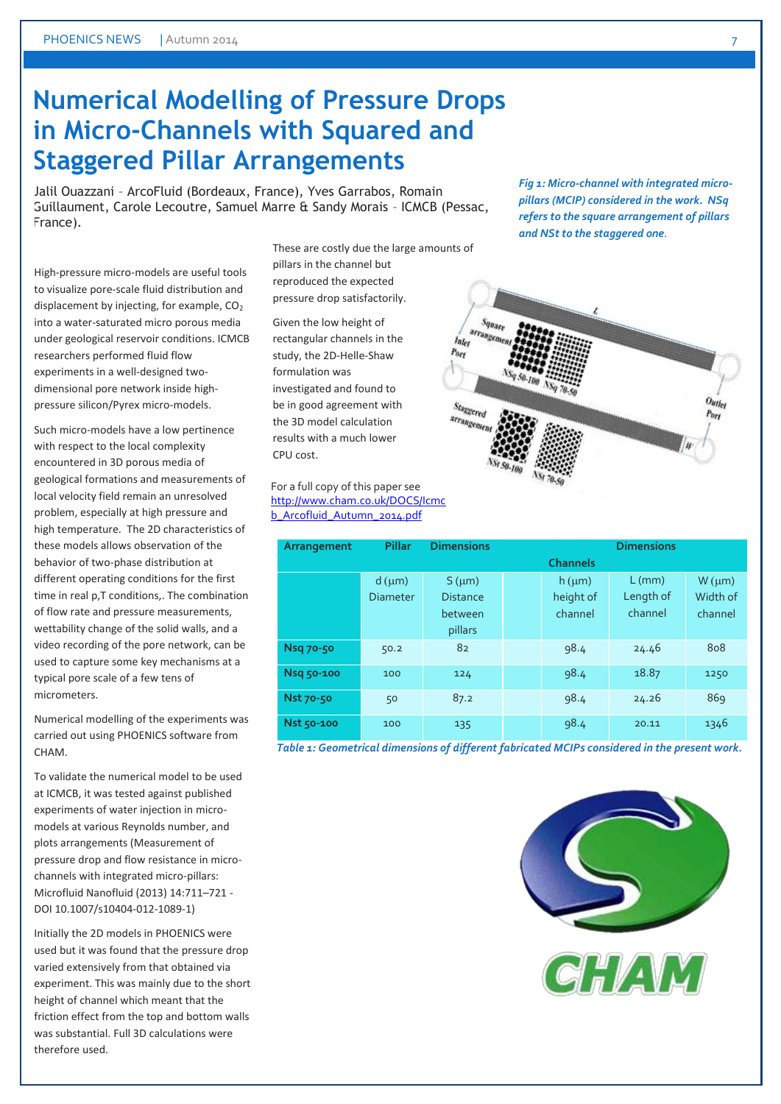### **Numerical Modelling of Pressure Drops in Micro-Channels with Squared and Staggered Pillar Arrangements**

Jalil Ouazzani – ArcoFluid (Bordeaux, France), Yves Garrabos, Romain Guillaument, Carole Lecoutre, Samuel Marre & Sandy Morais – ICMCB (Pessac, France).

High-pressure micro-models are useful tools to visualize pore-scale fluid distribution and displacement by injecting, for example,  $CO<sub>2</sub>$ into a water-saturated micro porous media under geological reservoir conditions. ICMCB researchers performed fluid flow experiments in a well-designed twodimensional pore network inside highpressure silicon/Pyrex micro-models.

Such micro-models have a low pertinence with respect to the local complexity encountered in 3D porous media of geological formations and measurements of local velocity field remain an unresolved problem, especially at high pressure and high temperature. The 2D characteristics of these models allows observation of the behavior of two-phase distribution at different operating conditions for the first time in real p,T conditions,. The combination of flow rate and pressure measurements, wettability change of the solid walls, and a video recording of the pore network, can be used to capture some key mechanisms at a typical pore scale of a few tens of micrometers.

Numerical modelling of the experiments was carried out using PHOENICS software from **CHAM** 

To validate the numerical model to be used at ICMCB, it was tested against published experiments of water injection in micromodels at various Reynolds number, and plots arrangements (Measurement of pressure drop and flow resistance in microchannels with integrated micro-pillars: Microfluid Nanofluid (2013) 14:711–721 - DOI 10.1007/s10404-012-1089-1)

Initially the 2D models in PHOENICS were used but it was found that the pressure drop varied extensively from that obtained via experiment. This was mainly due to the short height of channel which meant that the friction effect from the top and bottom walls was substantial. Full 3D calculations were therefore used.

These are costly due the large amounts of pillars in the channel but reproduced the expected pressure drop satisfactorily.

Given the low height of rectangular channels in the study, the 2D-Helle-Shaw formulation was investigated and found to be in good agreement with the 3D model calculation results with a much lower CPU cost.

For a full copy of this paper see [http://www.cham.co.uk/DOCS/Icmc](http://www.cham.co.uk/DOCS/Icmcb_Arcofluid_Autumn_2014.pdf) [b\\_Arcofluid\\_Autumn\\_2014.pdf](http://www.cham.co.uk/DOCS/Icmcb_Arcofluid_Autumn_2014.pdf)

| Arrangement | <b>Pillar</b>   | <b>Dimensions</b> | <b>Dimensions</b> |                 |           |                |
|-------------|-----------------|-------------------|-------------------|-----------------|-----------|----------------|
|             |                 |                   |                   | <b>Channels</b> |           |                |
|             | $d$ ( $\mu$ m)  | $S(\mu m)$        |                   | $h$ ( $\mu$ m)  | $L$ (mm)  | $W$ ( $\mu$ m) |
|             | <b>Diameter</b> | <b>Distance</b>   |                   | height of       | Length of | Width of       |
|             |                 | between           |                   | channel         | channel   | channel        |
|             |                 | pillars           |                   |                 |           |                |
| Nsq 70-50   | 50.2            | 82                |                   | 98.4            | 24.46     | 808            |
| Nsq 50-100  | 100             | 124               |                   | 98.4            | 18.87     | 1250           |
| Nst 70-50   | 50              | 87.2              |                   | 98.4            | 24.26     | 869            |
| Nst 50-100  | 100             | 135               |                   | 98.4            | 20.11     | 1346           |

*Table 1: Geometrical dimensions of different fabricated MCIPs considered in the present work.*

*Fig 1: Micro-channel with integrated micropillars (MCIP) considered in the work. NSq refers to the square arrangement of pillars and NSt to the staggered one*.